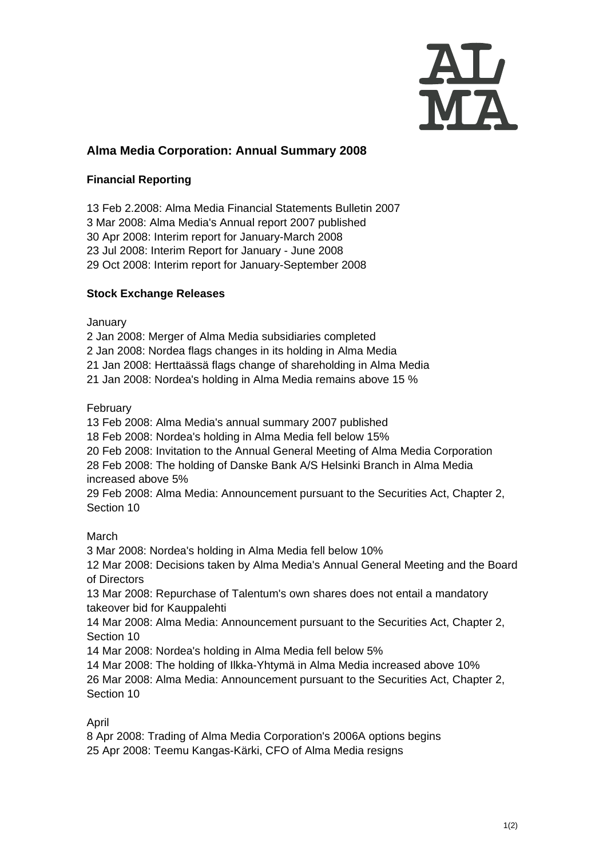

# **Alma Media Corporation: Annual Summary 2008**

### **Financial Reporting**

13 Feb 2.2008: Alma Media Financial Statements Bulletin 2007 3 Mar 2008: [Alma Media's Annual report 2007 published](http://www.almamedia.fi/release?release=138583) 30 Apr 2008: Interim report for January-March 2008 23 Jul 2008: Interim Report for January - June 2008 29 Oct 2008: Interim report for January-September 2008

### **Stock Exchange Releases**

January

2 Jan 2008: Merger of Alma Media subsidiaries completed

2 Jan 2008: Nordea flags changes in its holding in Alma Media

21 Jan 2008: Herttaässä flags change of shareholding in Alma Media

21 Jan 2008: Nordea's holding in Alma Media remains above 15 %

February

13 Feb 2008: Alma Media's annual summary 2007 published

18 Feb 2008: Nordea's holding in Alma Media fell below 15%

20 Feb 2008: Invitation to the Annual General Meeting of Alma Media Corporation

28 Feb 2008: The holding of Danske Bank A/S Helsinki Branch in Alma Media increased above 5%

29 Feb 2008: Alma Media: Announcement pursuant to the Securities Act, Chapter 2, Section 10

March

3 Mar 2008: Nordea's holding in Alma Media fell below 10%

12 Mar 2008: Decisions taken by Alma Media's Annual General Meeting and the Board of Directors

13 Mar 2008: Repurchase of Talentum's own shares does not entail a mandatory takeover bid for Kauppalehti

14 Mar 2008: Alma Media: Announcement pursuant to the Securities Act, Chapter 2, Section 10

14 Mar 2008: Nordea's holding in Alma Media fell below 5%

14 Mar 2008: The holding of Ilkka-Yhtymä in Alma Media increased above 10% 26 Mar 2008: Alma Media: Announcement pursuant to the Securities Act, Chapter 2, Section 10

#### April

8 Apr 2008: Trading of Alma Media Corporation's 2006A options begins 25 Apr 2008: Teemu Kangas-Kärki, CFO of Alma Media resigns